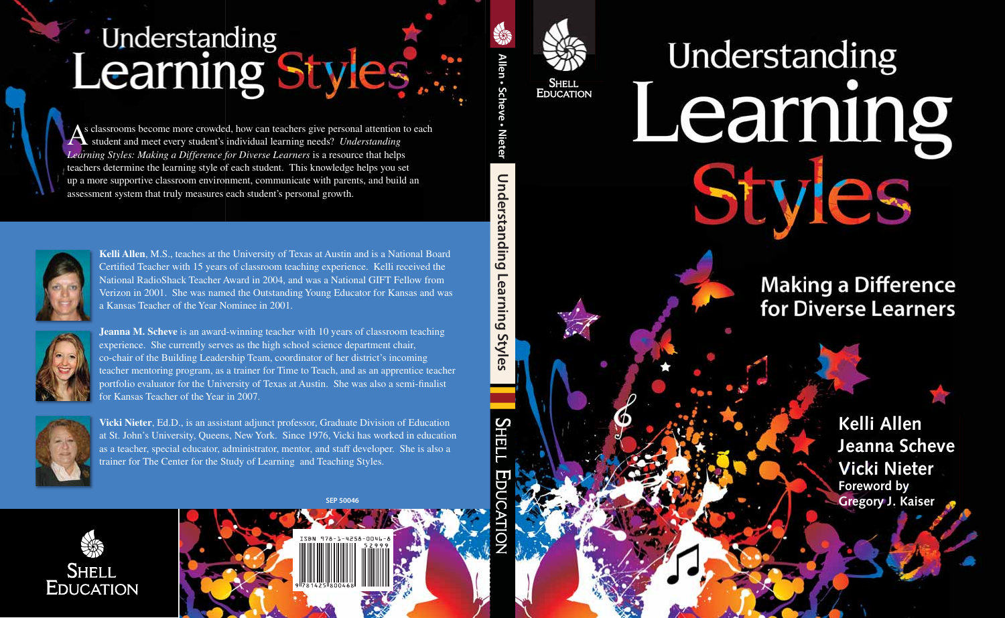

# Understanding Learning Stvies

**Making a Difference** for Diverse Learners

> **Kelli Allen Jeanna Scheve Vicki Nieter Foreword by Gregory J. Kaiser**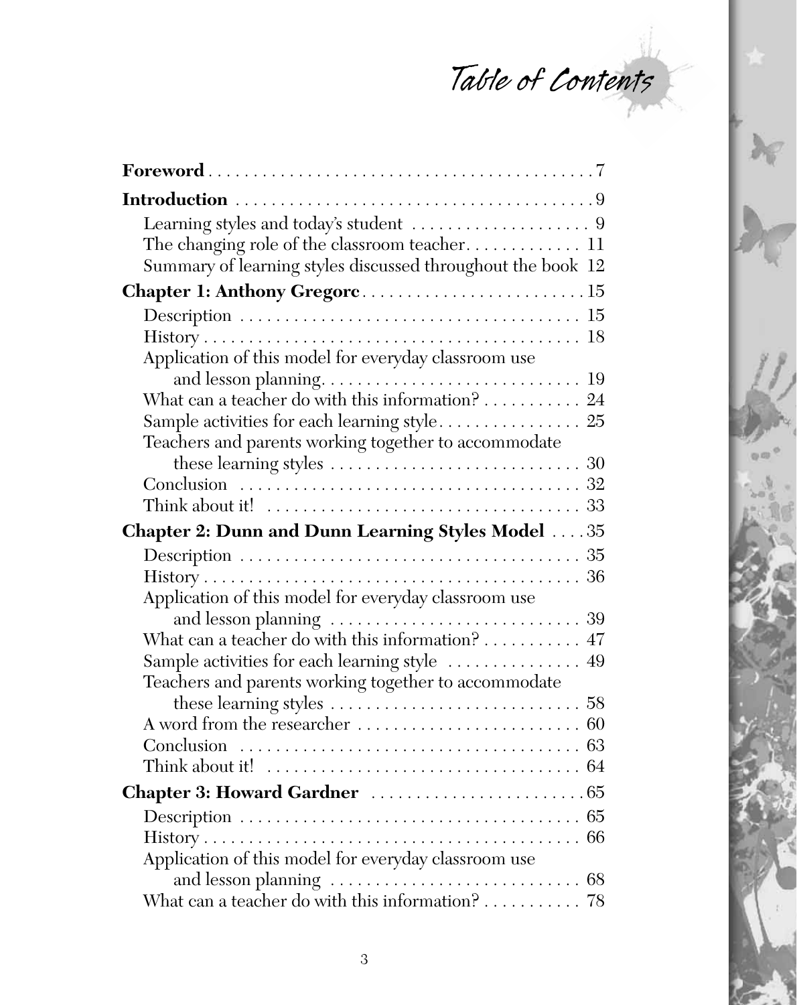*Table of Contents*

es de

| The changing role of the classroom teacher 11                                                            |
|----------------------------------------------------------------------------------------------------------|
| Summary of learning styles discussed throughout the book 12                                              |
| Chapter 1: Anthony Gregore15                                                                             |
|                                                                                                          |
| 18                                                                                                       |
| Application of this model for everyday classroom use                                                     |
|                                                                                                          |
| What can a teacher do with this information? 24                                                          |
| Sample activities for each learning style 25                                                             |
| Teachers and parents working together to accommodate                                                     |
| these learning styles $\ldots \ldots \ldots \ldots \ldots \ldots \ldots \ldots \ldots$ 30                |
|                                                                                                          |
| Think about it! $\ldots \ldots \ldots \ldots \ldots \ldots \ldots \ldots \ldots \ldots \ldots 33$        |
| <b>Chapter 2: Dunn and Dunn Learning Styles Model</b> 35                                                 |
| 35                                                                                                       |
|                                                                                                          |
| Application of this model for everyday classroom use                                                     |
|                                                                                                          |
| What can a teacher do with this information? 47                                                          |
| Sample activities for each learning style  49                                                            |
| Teachers and parents working together to accommodate                                                     |
| these learning styles $\ldots \ldots \ldots \ldots \ldots \ldots \ldots \ldots$ 58                       |
|                                                                                                          |
| Conclusion                                                                                               |
| Think about it! $\ldots \ldots \ldots \ldots \ldots \ldots \ldots \ldots \ldots \ldots \ldots \ldots$ 64 |
|                                                                                                          |
|                                                                                                          |
| $History \dots 66$                                                                                       |
| Application of this model for everyday classroom use                                                     |
|                                                                                                          |
| What can a teacher do with this information? 78                                                          |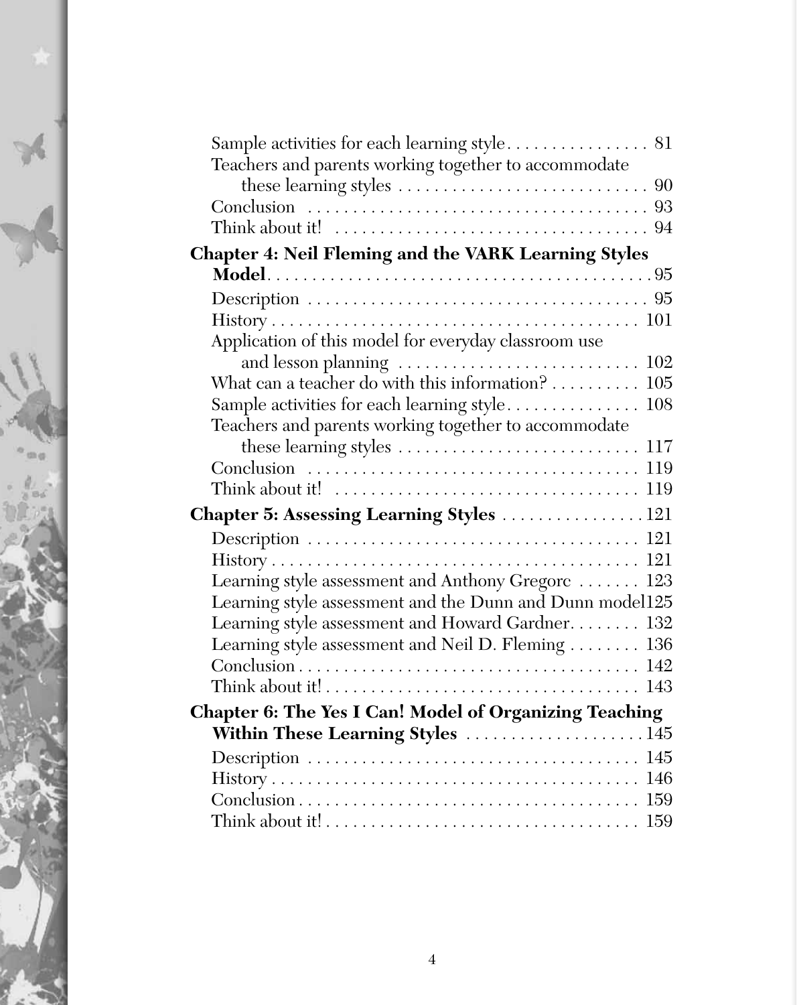| q     |  |
|-------|--|
|       |  |
| hi qa |  |
|       |  |
|       |  |
|       |  |
|       |  |
|       |  |

| Sample activities for each learning style 81                                                              |  |
|-----------------------------------------------------------------------------------------------------------|--|
| Teachers and parents working together to accommodate                                                      |  |
|                                                                                                           |  |
|                                                                                                           |  |
|                                                                                                           |  |
| <b>Chapter 4: Neil Fleming and the VARK Learning Styles</b>                                               |  |
|                                                                                                           |  |
|                                                                                                           |  |
|                                                                                                           |  |
| Application of this model for everyday classroom use                                                      |  |
|                                                                                                           |  |
| What can a teacher do with this information? 105                                                          |  |
| Sample activities for each learning style 108                                                             |  |
| Teachers and parents working together to accommodate                                                      |  |
| these learning styles $\ldots \ldots \ldots \ldots \ldots \ldots \ldots \ldots 117$                       |  |
|                                                                                                           |  |
|                                                                                                           |  |
| Chapter 5: Assessing Learning Styles  121                                                                 |  |
|                                                                                                           |  |
|                                                                                                           |  |
| Learning style assessment and Anthony Gregorc  123                                                        |  |
| Learning style assessment and the Dunn and Dunn model125                                                  |  |
| Learning style assessment and Howard Gardner 132                                                          |  |
| Learning style assessment and Neil D. Fleming  136                                                        |  |
|                                                                                                           |  |
| Think about it! $\ldots \ldots \ldots \ldots \ldots \ldots \ldots \ldots \ldots \ldots \ldots$ 143        |  |
| <b>Chapter 6: The Yes I Can! Model of Organizing Teaching</b>                                             |  |
| Within These Learning Styles 145                                                                          |  |
|                                                                                                           |  |
| $History \ldots \ldots \ldots \ldots \ldots \ldots \ldots \ldots \ldots \ldots \ldots \ldots \ldots 146$  |  |
|                                                                                                           |  |
| Think about it! $\ldots \ldots \ldots \ldots \ldots \ldots \ldots \ldots \ldots \ldots \ldots \ldots 159$ |  |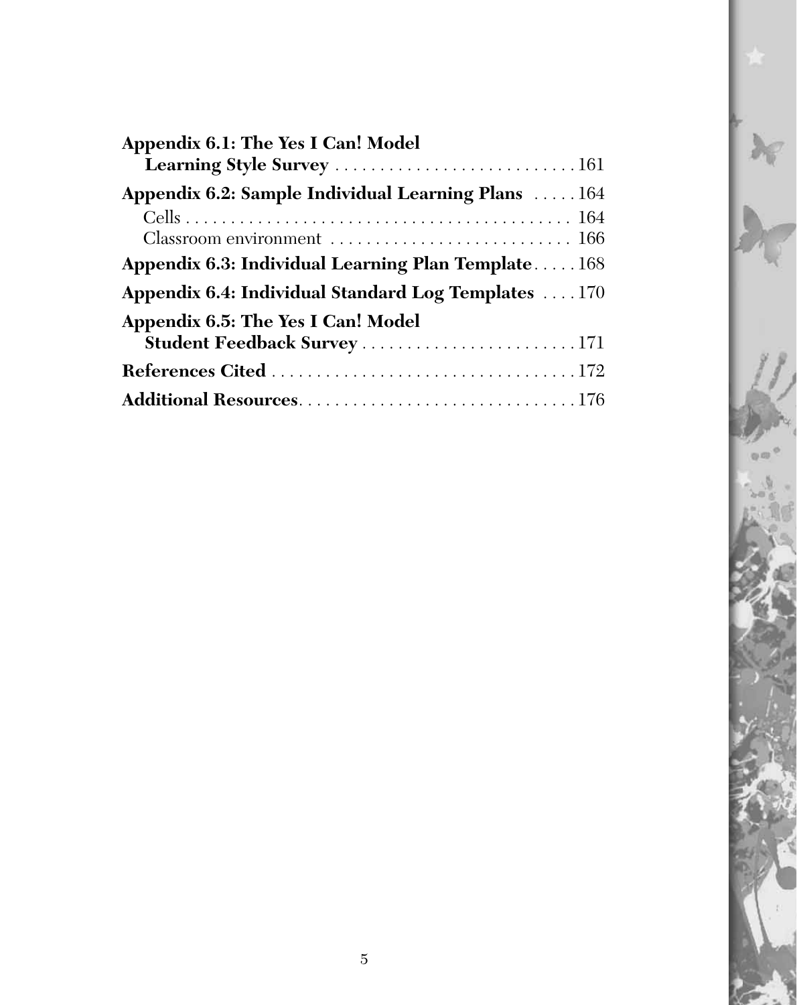| Appendix 6.1: The Yes I Can! Model                         |  |
|------------------------------------------------------------|--|
| <b>Appendix 6.2: Sample Individual Learning Plans</b> 164  |  |
|                                                            |  |
|                                                            |  |
| <b>Appendix 6.3: Individual Learning Plan Template168</b>  |  |
| <b>Appendix 6.4: Individual Standard Log Templates</b> 170 |  |
| Appendix 6.5: The Yes I Can! Model                         |  |
| Student Feedback Survey171                                 |  |
|                                                            |  |
|                                                            |  |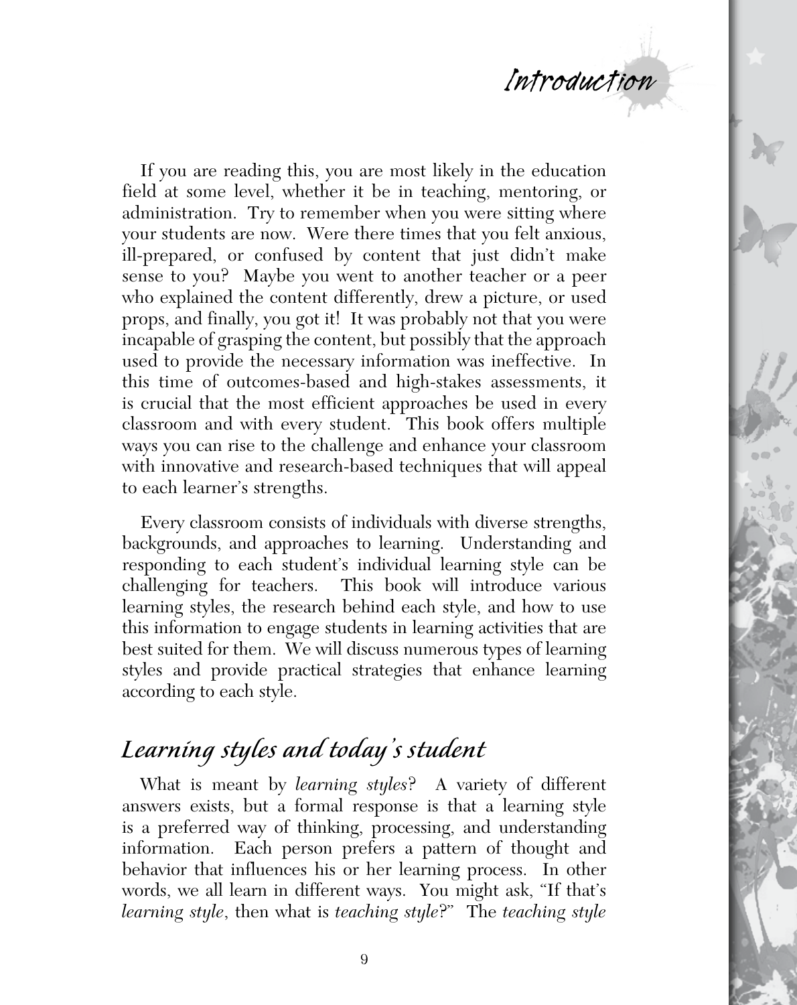# *Introduction*

If you are reading this, you are most likely in the education field at some level, whether it be in teaching, mentoring, or administration. Try to remember when you were sitting where your students are now. Were there times that you felt anxious, ill-prepared, or confused by content that just didn't make sense to you? Maybe you went to another teacher or a peer who explained the content differently, drew a picture, or used props, and finally, you got it! It was probably not that you were incapable of grasping the content, but possibly that the approach used to provide the necessary information was ineffective. In this time of outcomes-based and high-stakes assessments, it is crucial that the most efficient approaches be used in every classroom and with every student. This book offers multiple ways you can rise to the challenge and enhance your classroom with innovative and research-based techniques that will appeal to each learner's strengths.

Every classroom consists of individuals with diverse strengths, backgrounds, and approaches to learning. Understanding and responding to each student's individual learning style can be challenging for teachers. This book will introduce various learning styles, the research behind each style, and how to use this information to engage students in learning activities that are best suited for them. We will discuss numerous types of learning styles and provide practical strategies that enhance learning according to each style.

## *Learning styles and today's student*

What is meant by *learning styles*? A variety of different answers exists, but a formal response is that a learning style is a preferred way of thinking, processing, and understanding information. Each person prefers a pattern of thought and behavior that influences his or her learning process. In other words, we all learn in different ways. You might ask, "If that's *learning style*, then what is *teaching style*?" The *teaching style*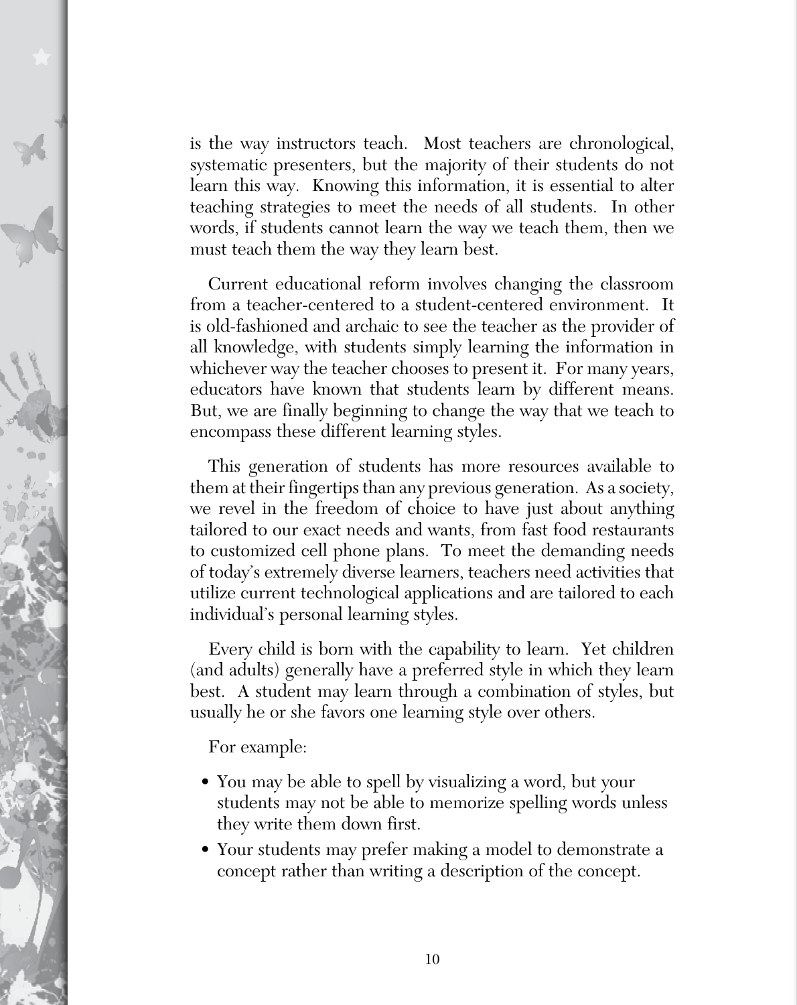is the way instructors teach. Most teachers are chronological, systematic presenters, but the majority of their students do not learn this way. Knowing this information, it is essential to alter teaching strategies to meet the needs of all students. In other words, if students cannot learn the way we teach them, then we must teach them the way they learn best.

Current educational reform involves changing the classroom from a teacher-centered to a student-centered environment. It is old-fashioned and archaic to see the teacher as the provider of all knowledge, with students simply learning the information in whichever way the teacher chooses to present it. For many years, educators have known that students learn by different means. But, we are finally beginning to change the way that we teach to encompass these different learning styles.

This generation of students has more resources available to them at their fingertips than any previous generation. As a society, we revel in the freedom of choice to have just about anything tailored to our exact needs and wants, from fast food restaurants to customized cell phone plans. To meet the demanding needs of today's extremely diverse learners, teachers need activities that utilize current technological applications and are tailored to each individual's personal learning styles.

Every child is born with the capability to learn. Yet children (and adults) generally have a preferred style in which they learn best. A student may learn through a combination of styles, but usually he or she favors one learning style over others.

For example:

- You may be able to spell by visualizing a word, but your students may not be able to memorize spelling words unless they write them down first.
- Your students may prefer making a model to demonstrate a concept rather than writing a description of the concept.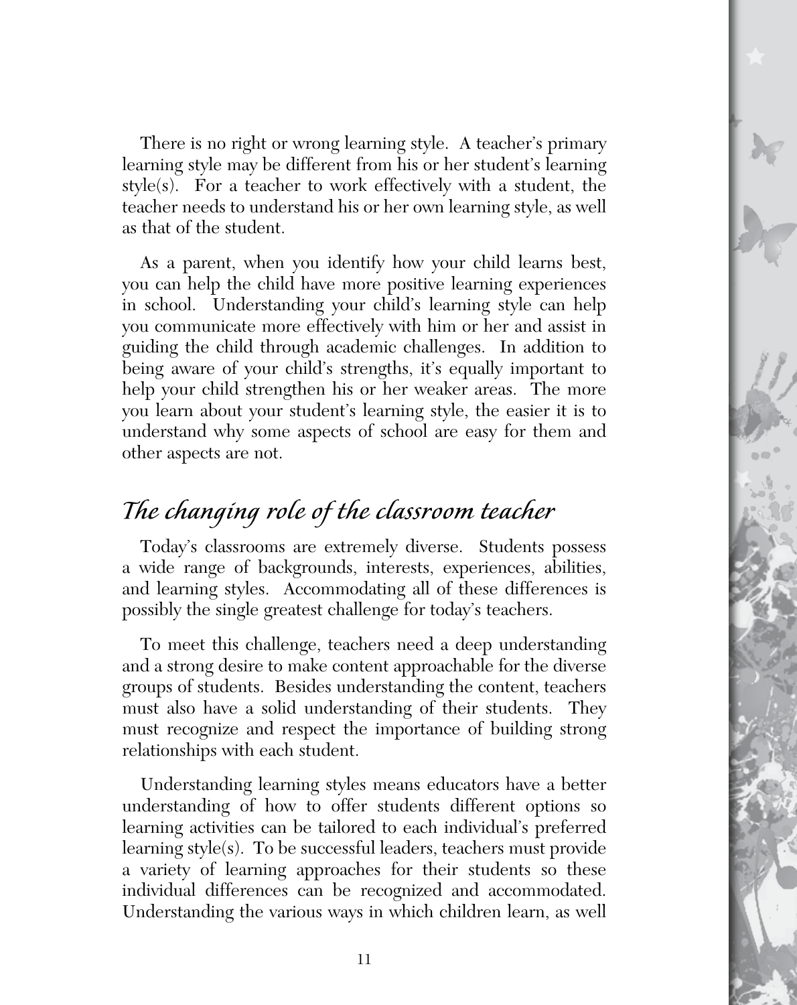There is no right or wrong learning style. A teacher's primary learning style may be different from his or her student's learning style(s). For a teacher to work effectively with a student, the teacher needs to understand his or her own learning style, as well as that of the student.

As a parent, when you identify how your child learns best, you can help the child have more positive learning experiences in school. Understanding your child's learning style can help you communicate more effectively with him or her and assist in guiding the child through academic challenges. In addition to being aware of your child's strengths, it's equally important to help your child strengthen his or her weaker areas. The more you learn about your student's learning style, the easier it is to understand why some aspects of school are easy for them and other aspects are not.

### *The changing role of the classroom teacher*

Today's classrooms are extremely diverse. Students possess a wide range of backgrounds, interests, experiences, abilities, and learning styles. Accommodating all of these differences is possibly the single greatest challenge for today's teachers.

To meet this challenge, teachers need a deep understanding and a strong desire to make content approachable for the diverse groups of students. Besides understanding the content, teachers must also have a solid understanding of their students. They must recognize and respect the importance of building strong relationships with each student.

Understanding learning styles means educators have a better understanding of how to offer students different options so learning activities can be tailored to each individual's preferred learning style(s). To be successful leaders, teachers must provide a variety of learning approaches for their students so these individual differences can be recognized and accommodated. Understanding the various ways in which children learn, as well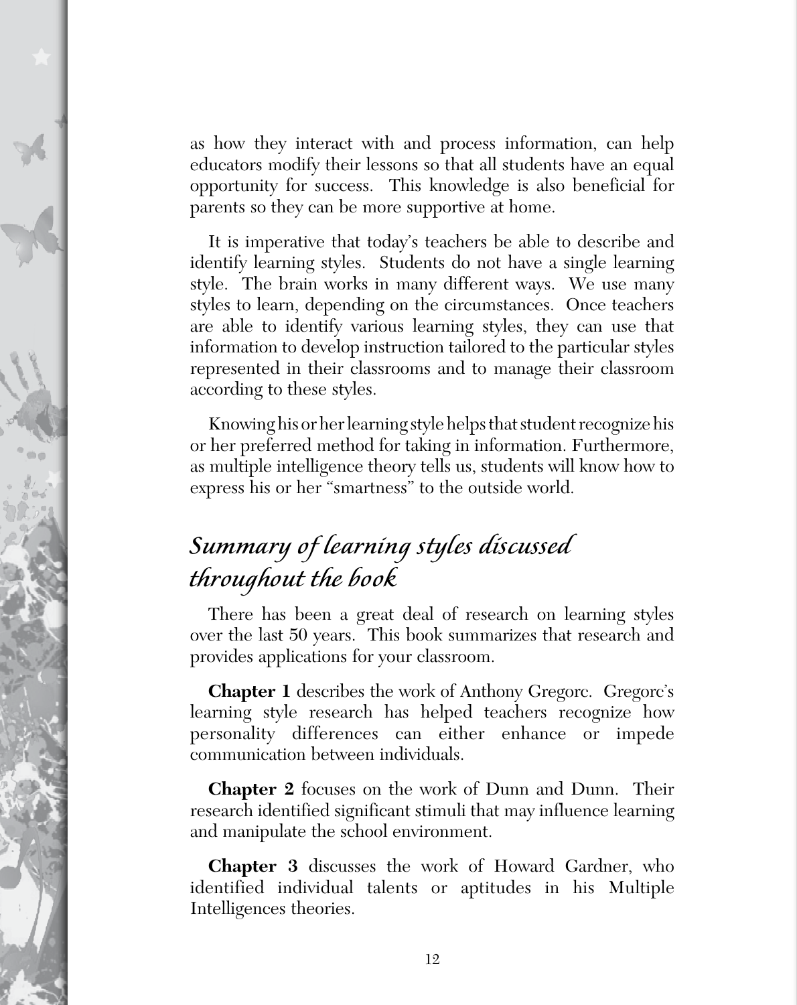as how they interact with and process information, can help educators modify their lessons so that all students have an equal opportunity for success. This knowledge is also beneficial for parents so they can be more supportive at home.

It is imperative that today's teachers be able to describe and identify learning styles. Students do not have a single learning style. The brain works in many different ways. We use many styles to learn, depending on the circumstances. Once teachers are able to identify various learning styles, they can use that information to develop instruction tailored to the particular styles represented in their classrooms and to manage their classroom according to these styles.

Knowing his or her learning style helps that student recognize his or her preferred method for taking in information. Furthermore, as multiple intelligence theory tells us, students will know how to express his or her "smartness" to the outside world.

# *Summary of learning styles discussed throughout the book*

There has been a great deal of research on learning styles over the last 50 years. This book summarizes that research and provides applications for your classroom.

**Chapter 1** describes the work of Anthony Gregorc. Gregorc's learning style research has helped teachers recognize how personality differences can either enhance or impede communication between individuals.

**Chapter 2** focuses on the work of Dunn and Dunn. Their research identified significant stimuli that may influence learning and manipulate the school environment.

**Chapter 3** discusses the work of Howard Gardner, who identified individual talents or aptitudes in his Multiple Intelligences theories.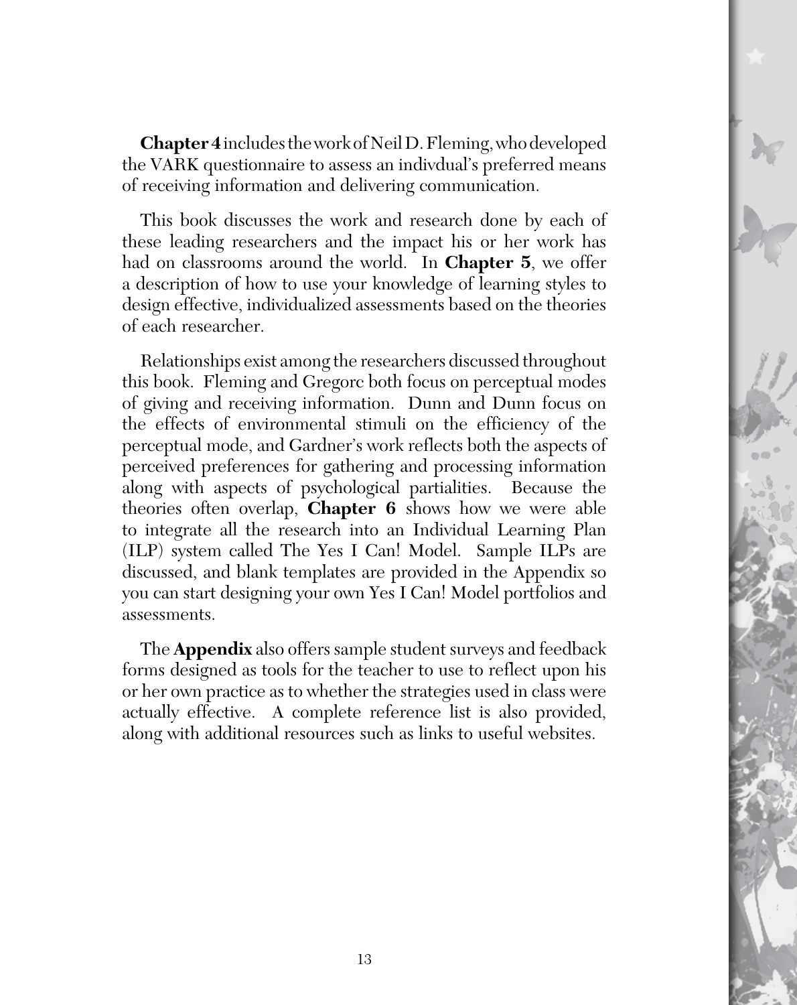**Chapter 4** includes the work of Neil D. Fleming, who developed the VARK questionnaire to assess an indivdual's preferred means of receiving information and delivering communication.

This book discusses the work and research done by each of these leading researchers and the impact his or her work has had on classrooms around the world. In **Chapter 5**, we offer a description of how to use your knowledge of learning styles to design effective, individualized assessments based on the theories of each researcher.

Relationships exist among the researchers discussed throughout this book. Fleming and Gregorc both focus on perceptual modes of giving and receiving information. Dunn and Dunn focus on the effects of environmental stimuli on the efficiency of the perceptual mode, and Gardner's work reflects both the aspects of perceived preferences for gathering and processing information along with aspects of psychological partialities. Because the theories often overlap, **Chapter 6** shows how we were able to integrate all the research into an Individual Learning Plan (ILP) system called The Yes I Can! Model. Sample ILPs are discussed, and blank templates are provided in the Appendix so you can start designing your own Yes I Can! Model portfolios and assessments.

The **Appendix** also offers sample student surveys and feedback forms designed as tools for the teacher to use to reflect upon his or her own practice as to whether the strategies used in class were actually effective. A complete reference list is also provided, along with additional resources such as links to useful websites.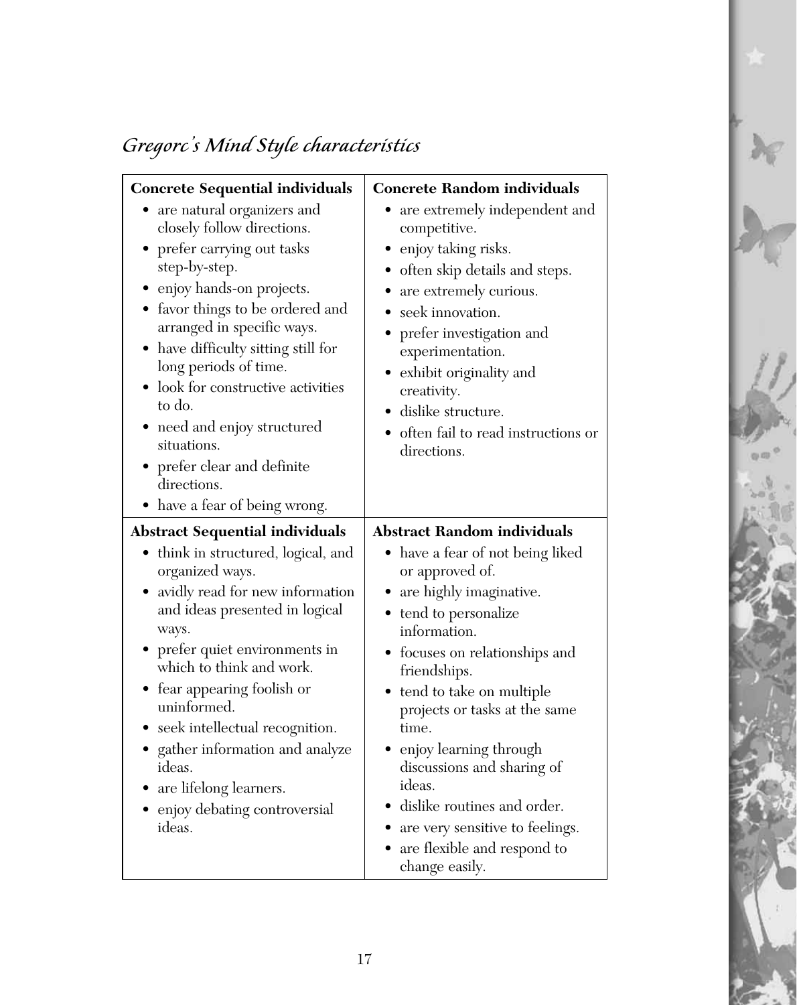# Gregorc's Mind Style characteristics

| <b>Concrete Sequential individuals</b>                                                                                                                                                                                                                                                                                                                                                                             | <b>Concrete Random individuals</b>                                                                                                                                                                                                                                                                                                                                                                                                        |
|--------------------------------------------------------------------------------------------------------------------------------------------------------------------------------------------------------------------------------------------------------------------------------------------------------------------------------------------------------------------------------------------------------------------|-------------------------------------------------------------------------------------------------------------------------------------------------------------------------------------------------------------------------------------------------------------------------------------------------------------------------------------------------------------------------------------------------------------------------------------------|
| are natural organizers and<br>closely follow directions.<br>• prefer carrying out tasks<br>step-by-step.<br>• enjoy hands-on projects.<br>• favor things to be ordered and<br>arranged in specific ways.<br>• have difficulty sitting still for<br>long periods of time.<br>• look for constructive activities<br>to do.<br>• need and enjoy structured<br>situations.<br>prefer clear and definite<br>directions. | are extremely independent and<br>competitive.<br>• enjoy taking risks.<br>• often skip details and steps.<br>are extremely curious.<br>seek innovation.<br>• prefer investigation and<br>experimentation.<br>exhibit originality and<br>creativity.<br>dislike structure.<br>often fail to read instructions or<br>directions.                                                                                                            |
| • have a fear of being wrong.                                                                                                                                                                                                                                                                                                                                                                                      |                                                                                                                                                                                                                                                                                                                                                                                                                                           |
| <b>Abstract Sequential individuals</b>                                                                                                                                                                                                                                                                                                                                                                             | <b>Abstract Random individuals</b>                                                                                                                                                                                                                                                                                                                                                                                                        |
| • think in structured, logical, and<br>organized ways.<br>avidly read for new information<br>and ideas presented in logical<br>ways.<br>$\bullet~$ prefer quiet environments in<br>which to think and work.<br>• fear appearing foolish or<br>uninformed.<br>seek intellectual recognition.<br>gather information and analyze<br>ideas.<br>are lifelong learners.<br>• enjoy debating controversial<br>ideas.      | have a fear of not being liked<br>٠<br>or approved of.<br>• are highly imaginative.<br>• tend to personalize<br>information.<br>• focuses on relationships and<br>friendships.<br>tend to take on multiple<br>projects or tasks at the same<br>time.<br>enjoy learning through<br>discussions and sharing of<br>ideas.<br>dislike routines and order.<br>are very sensitive to feelings.<br>are flexible and respond to<br>change easily. |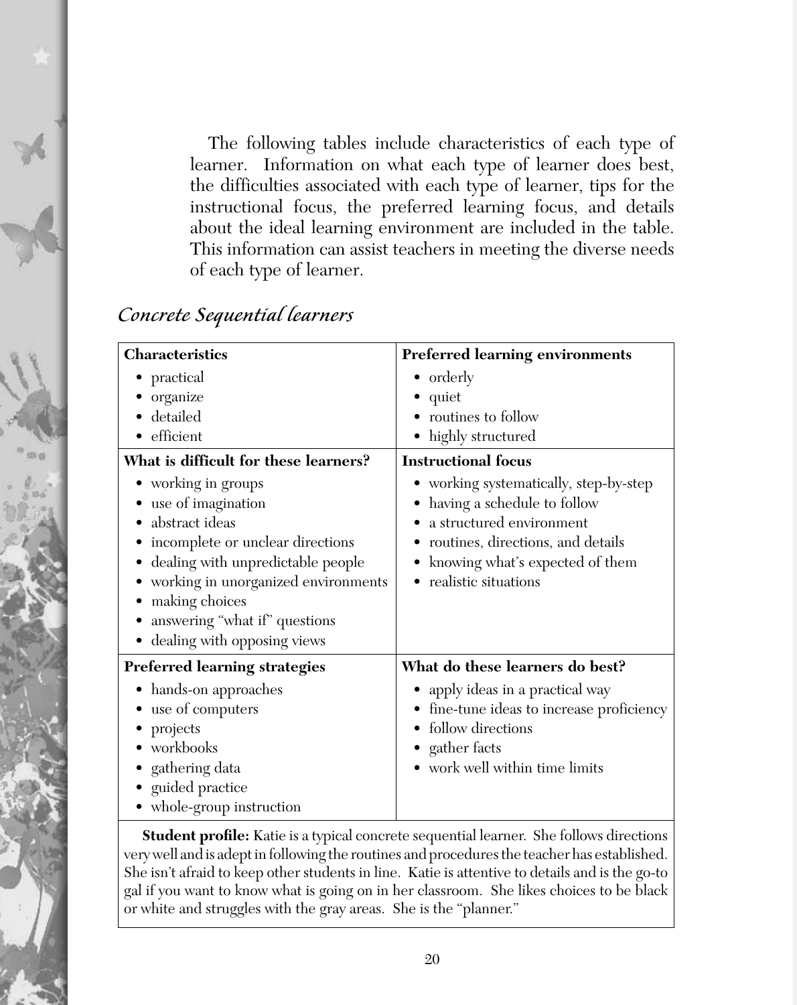The following tables include characteristics of each type of learner. Information on what each type of learner does best, the difficulties associated with each type of learner, tips for the instructional focus, the preferred learning focus, and details about the ideal learning environment are included in the table. This information can assist teachers in meeting the diverse needs of each type of learner.

| <b>Characteristics</b>                                                                                                                                                                                                                                                                                                                                       | <b>Preferred learning environments</b>                                                                                                                                                                                                                                                               |
|--------------------------------------------------------------------------------------------------------------------------------------------------------------------------------------------------------------------------------------------------------------------------------------------------------------------------------------------------------------|------------------------------------------------------------------------------------------------------------------------------------------------------------------------------------------------------------------------------------------------------------------------------------------------------|
| practical<br>organize<br>detailed<br>efficient<br>What is difficult for these learners?<br>• working in groups<br>• use of imagination<br>abstract ideas<br>incomplete or unclear directions<br>dealing with unpredictable people<br>• working in unorganized environments<br>making choices<br>answering "what if" questions<br>dealing with opposing views | • orderly<br>quiet<br>routines to follow<br>• highly structured<br><b>Instructional focus</b><br>• working systematically, step-by-step<br>having a schedule to follow<br>a structured environment<br>routines, directions, and details<br>knowing what's expected of them<br>• realistic situations |
| Preferred learning strategies<br>hands-on approaches<br>$\bullet$<br>use of computers<br>projects<br>• workbooks<br>gathering data<br>• guided practice<br>• whole-group instruction                                                                                                                                                                         | What do these learners do best?<br>apply ideas in a practical way<br>fine-tune ideas to increase proficiency<br>$\bullet$<br>follow directions<br>• gather facts<br>• work well within time limits                                                                                                   |

#### Concrete Sequential learners

**Student profile:** Katie is a typical concrete sequential learner. She follows directions very well and is adept in following the routines and procedures the teacher has established. She isn't afraid to keep other students in line. Katie is attentive to details and is the go-to gal if you want to know what is going on in her classroom. She likes choices to be black or white and struggles with the gray areas. She is the "planner."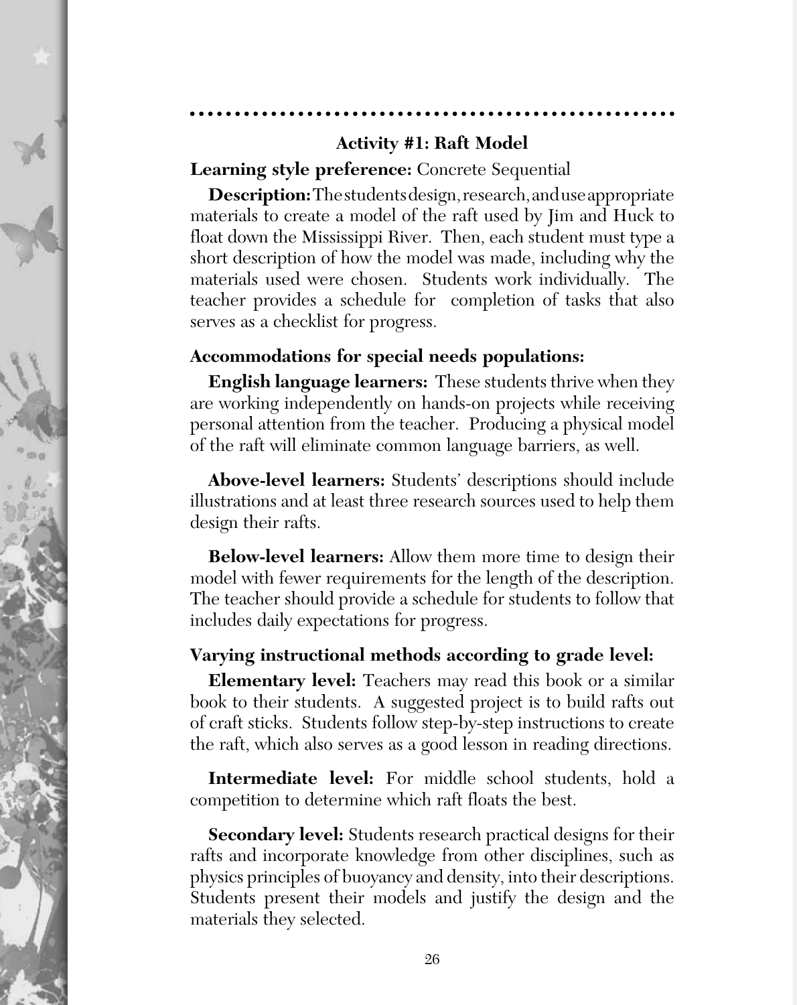#### **Activity #1: Raft Model**

**Learning style preference:** Concrete Sequential

**Description:** The students design, research, and use appropriate materials to create a model of the raft used by Jim and Huck to float down the Mississippi River. Then, each student must type a short description of how the model was made, including why the materials used were chosen. Students work individually. The teacher provides a schedule for completion of tasks that also serves as a checklist for progress.

#### **Accommodations for special needs populations:**

**English language learners:** These students thrive when they are working independently on hands-on projects while receiving personal attention from the teacher. Producing a physical model of the raft will eliminate common language barriers, as well.

**Above-level learners:** Students' descriptions should include illustrations and at least three research sources used to help them design their rafts.

**Below-level learners:** Allow them more time to design their model with fewer requirements for the length of the description. The teacher should provide a schedule for students to follow that includes daily expectations for progress.

#### **Varying instructional methods according to grade level:**

**Elementary level:** Teachers may read this book or a similar book to their students. A suggested project is to build rafts out of craft sticks. Students follow step-by-step instructions to create the raft, which also serves as a good lesson in reading directions.

**Intermediate level:** For middle school students, hold a competition to determine which raft floats the best.

**Secondary level:** Students research practical designs for their rafts and incorporate knowledge from other disciplines, such as physics principles of buoyancy and density, into their descriptions. Students present their models and justify the design and the materials they selected.